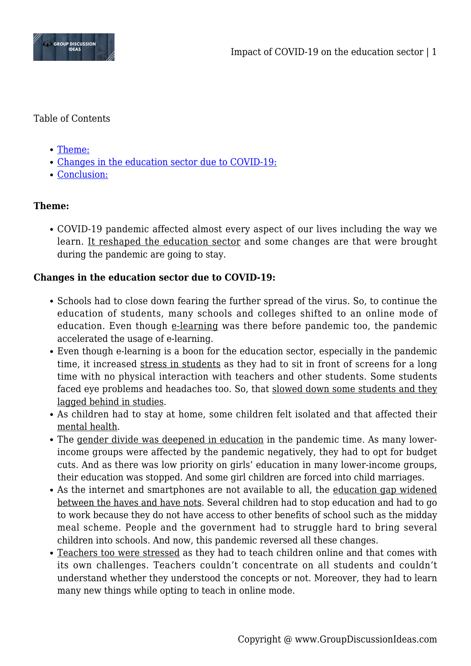

## Table of Contents

- [Theme:](#page--1-0)
- [Changes in the education sector due to COVID-19:](#page--1-0)
- [Conclusion:](#page--1-0)

# **Theme:**

COVID-19 pandemic affected almost every aspect of our lives including the way we learn. It reshaped the education sector and some changes are that were brought during the pandemic are going to stay.

### **Changes in the education sector due to COVID-19:**

- Schools had to close down fearing the further spread of the virus. So, to continue the education of students, many schools and colleges shifted to an online mode of education. Even though e-learning was there before pandemic too, the pandemic accelerated the usage of e-learning.
- Even though e-learning is a boon for the education sector, especially in the pandemic time, it increased stress in students as they had to sit in front of screens for a long time with no physical interaction with teachers and other students. Some students faced eye problems and headaches too. So, that slowed down some students and they lagged behind in studies.
- As children had to stay at home, some children felt isolated and that affected their mental health.
- The gender divide was deepened in education in the pandemic time. As many lowerincome groups were affected by the pandemic negatively, they had to opt for budget cuts. And as there was low priority on girls' education in many lower-income groups, their education was stopped. And some girl children are forced into child marriages.
- As the internet and smartphones are not available to all, the education gap widened between the haves and have nots. Several children had to stop education and had to go to work because they do not have access to other benefits of school such as the midday meal scheme. People and the government had to struggle hard to bring several children into schools. And now, this pandemic reversed all these changes.
- Teachers too were stressed as they had to teach children online and that comes with its own challenges. Teachers couldn't concentrate on all students and couldn't understand whether they understood the concepts or not. Moreover, they had to learn many new things while opting to teach in online mode.